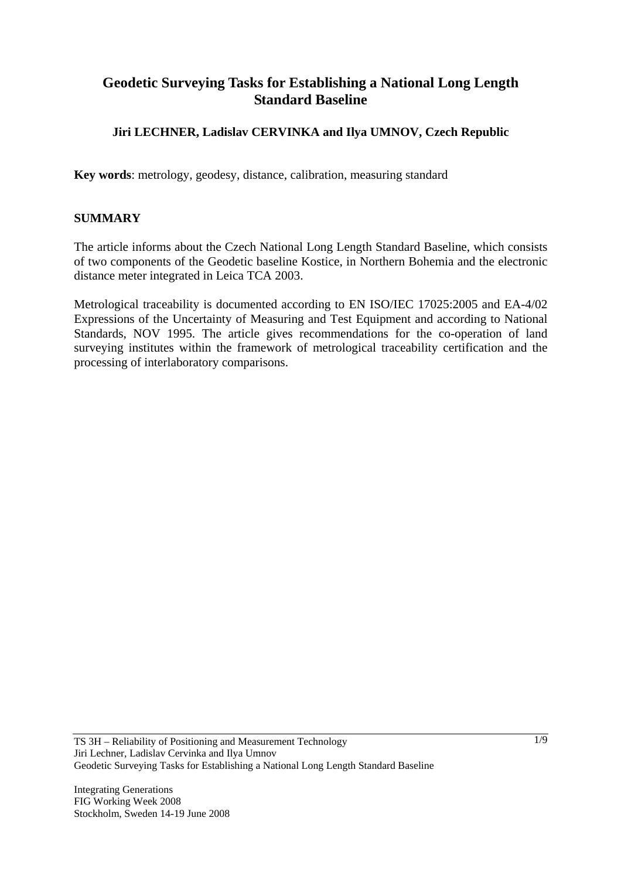# **Geodetic Surveying Tasks for Establishing a National Long Length Standard Baseline**

## **Jiri LECHNER, Ladislav CERVINKA and Ilya UMNOV, Czech Republic**

**Key words**: metrology, geodesy, distance, calibration, measuring standard

#### **SUMMARY**

The article informs about the Czech National Long Length Standard Baseline, which consists of two components of the Geodetic baseline Kostice, in Northern Bohemia and the electronic distance meter integrated in Leica TCA 2003.

Metrological traceability is documented according to EN ISO/IEC 17025:2005 and EA-4/02 Expressions of the Uncertainty of Measuring and Test Equipment and according to National Standards, NOV 1995. The article gives recommendations for the co-operation of land surveying institutes within the framework of metrological traceability certification and the processing of interlaboratory comparisons.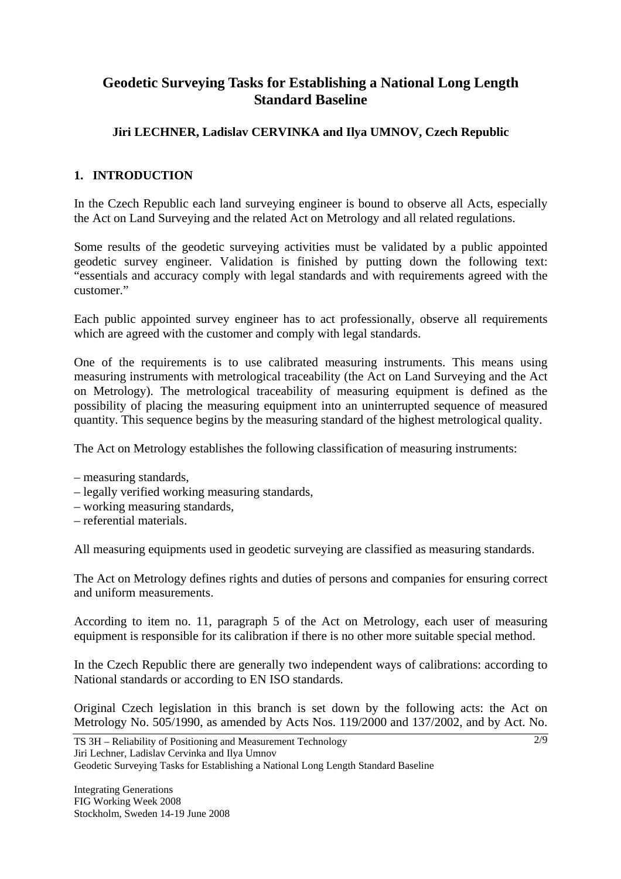# **Geodetic Surveying Tasks for Establishing a National Long Length Standard Baseline**

## **Jiri LECHNER, Ladislav CERVINKA and Ilya UMNOV, Czech Republic**

## **1. INTRODUCTION**

In the Czech Republic each land surveying engineer is bound to observe all Acts, especially the Act on Land Surveying and the related Act on Metrology and all related regulations.

Some results of the geodetic surveying activities must be validated by a public appointed geodetic survey engineer. Validation is finished by putting down the following text: "essentials and accuracy comply with legal standards and with requirements agreed with the customer."

Each public appointed survey engineer has to act professionally, observe all requirements which are agreed with the customer and comply with legal standards.

One of the requirements is to use calibrated measuring instruments. This means using measuring instruments with metrological traceability (the Act on Land Surveying and the Act on Metrology). The metrological traceability of measuring equipment is defined as the possibility of placing the measuring equipment into an uninterrupted sequence of measured quantity. This sequence begins by the measuring standard of the highest metrological quality.

The Act on Metrology establishes the following classification of measuring instruments:

- measuring standards,
- legally verified working measuring standards,
- working measuring standards,
- referential materials.

All measuring equipments used in geodetic surveying are classified as measuring standards.

The Act on Metrology defines rights and duties of persons and companies for ensuring correct and uniform measurements.

According to item no. 11, paragraph 5 of the Act on Metrology, each user of measuring equipment is responsible for its calibration if there is no other more suitable special method.

In the Czech Republic there are generally two independent ways of calibrations: according to National standards or according to EN ISO standards.

Original Czech legislation in this branch is set down by the following acts: the Act on Metrology No. 505/1990, as amended by Acts Nos. 119/2000 and 137/2002, and by Act. No.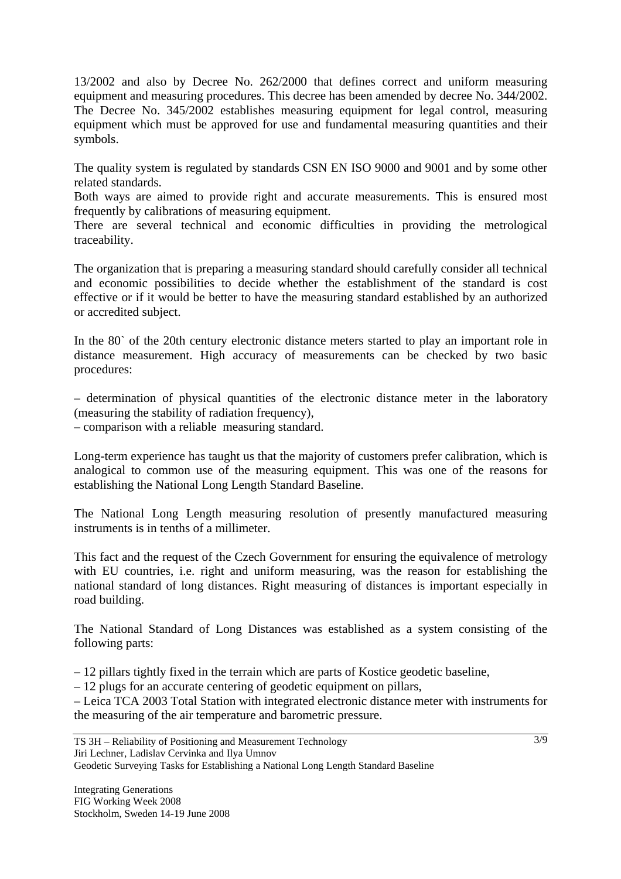13/2002 and also by Decree No. 262/2000 that defines correct and uniform measuring equipment and measuring procedures. This decree has been amended by decree No. 344/2002. The Decree No. 345/2002 establishes measuring equipment for legal control, measuring equipment which must be approved for use and fundamental measuring quantities and their symbols.

The quality system is regulated by standards CSN EN ISO 9000 and 9001 and by some other related standards.

Both ways are aimed to provide right and accurate measurements. This is ensured most frequently by calibrations of measuring equipment.

There are several technical and economic difficulties in providing the metrological traceability.

The organization that is preparing a measuring standard should carefully consider all technical and economic possibilities to decide whether the establishment of the standard is cost effective or if it would be better to have the measuring standard established by an authorized or accredited subject.

In the 80` of the 20th century electronic distance meters started to play an important role in distance measurement. High accuracy of measurements can be checked by two basic procedures:

– determination of physical quantities of the electronic distance meter in the laboratory (measuring the stability of radiation frequency),

– comparison with a reliable measuring standard.

Long-term experience has taught us that the majority of customers prefer calibration, which is analogical to common use of the measuring equipment. This was one of the reasons for establishing the National Long Length Standard Baseline.

The National Long Length measuring resolution of presently manufactured measuring instruments is in tenths of a millimeter.

This fact and the request of the Czech Government for ensuring the equivalence of metrology with EU countries, i.e. right and uniform measuring, was the reason for establishing the national standard of long distances. Right measuring of distances is important especially in road building.

The National Standard of Long Distances was established as a system consisting of the following parts:

– 12 pillars tightly fixed in the terrain which are parts of Kostice geodetic baseline,

– 12 plugs for an accurate centering of geodetic equipment on pillars,

– Leica TCA 2003 Total Station with integrated electronic distance meter with instruments for the measuring of the air temperature and barometric pressure.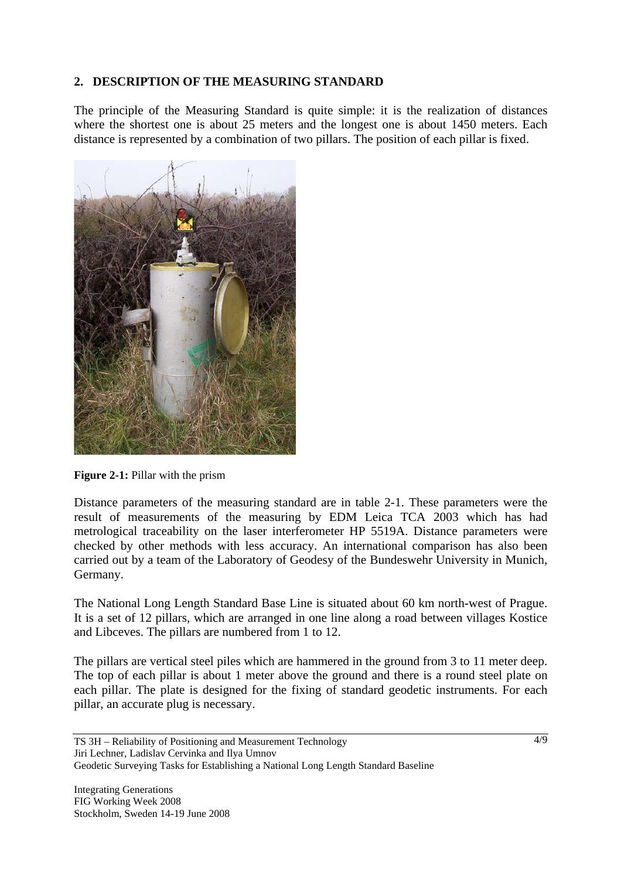## **2. DESCRIPTION OF THE MEASURING STANDARD**

The principle of the Measuring Standard is quite simple: it is the realization of distances where the shortest one is about 25 meters and the longest one is about 1450 meters. Each distance is represented by a combination of two pillars. The position of each pillar is fixed.



**Figure 2-1:** Pillar with the prism

Distance parameters of the measuring standard are in table 2-1. These parameters were the result of measurements of the measuring by EDM Leica TCA 2003 which has had metrological traceability on the laser interferometer HP 5519A. Distance parameters were checked by other methods with less accuracy. An international comparison has also been carried out by a team of the Laboratory of Geodesy of the Bundeswehr University in Munich, Germany.

The National Long Length Standard Base Line is situated about 60 km north-west of Prague. It is a set of 12 pillars, which are arranged in one line along a road between villages Kostice and Libceves. The pillars are numbered from 1 to 12.

The pillars are vertical steel piles which are hammered in the ground from 3 to 11 meter deep. The top of each pillar is about 1 meter above the ground and there is a round steel plate on each pillar. The plate is designed for the fixing of standard geodetic instruments. For each pillar, an accurate plug is necessary.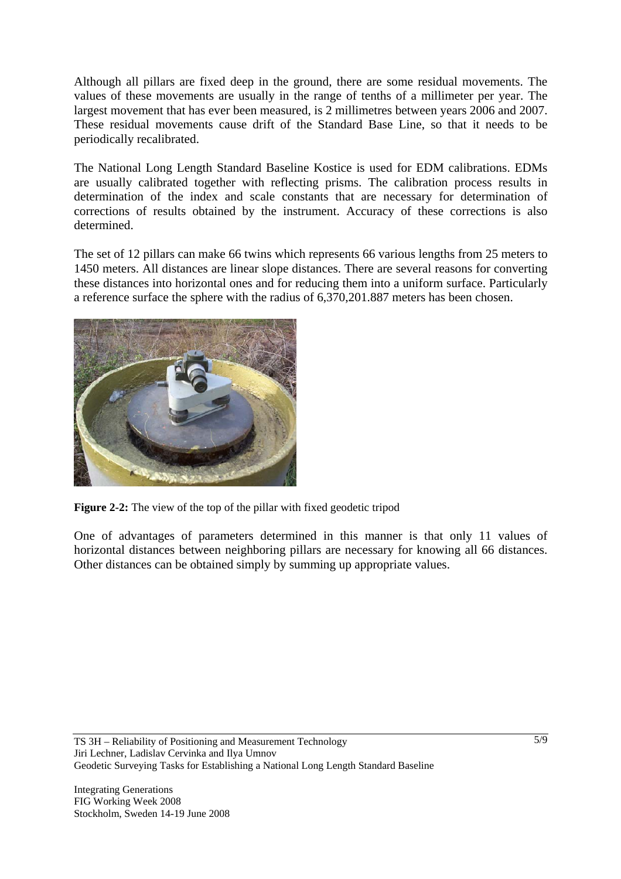Although all pillars are fixed deep in the ground, there are some residual movements. The values of these movements are usually in the range of tenths of a millimeter per year. The largest movement that has ever been measured, is 2 millimetres between years 2006 and 2007. These residual movements cause drift of the Standard Base Line, so that it needs to be periodically recalibrated.

The National Long Length Standard Baseline Kostice is used for EDM calibrations. EDMs are usually calibrated together with reflecting prisms. The calibration process results in determination of the index and scale constants that are necessary for determination of corrections of results obtained by the instrument. Accuracy of these corrections is also determined.

The set of 12 pillars can make 66 twins which represents 66 various lengths from 25 meters to 1450 meters. All distances are linear slope distances. There are several reasons for converting these distances into horizontal ones and for reducing them into a uniform surface. Particularly a reference surface the sphere with the radius of 6,370,201.887 meters has been chosen.



**Figure 2-2:** The view of the top of the pillar with fixed geodetic tripod

One of advantages of parameters determined in this manner is that only 11 values of horizontal distances between neighboring pillars are necessary for knowing all 66 distances. Other distances can be obtained simply by summing up appropriate values.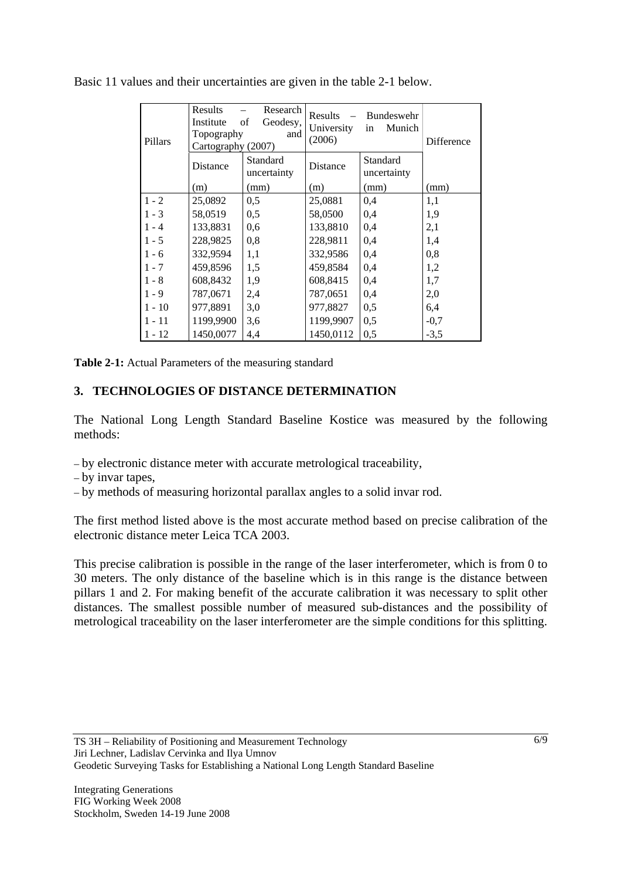| Pillars  | <b>Results</b><br>Institute<br>Topography<br>Cartography (2007) | Research<br>of<br>Geodesy,<br>and | <b>Results</b><br>University<br>(2006) | Bundeswehr<br>Munich<br>in | <b>Difference</b> |
|----------|-----------------------------------------------------------------|-----------------------------------|----------------------------------------|----------------------------|-------------------|
|          | Distance                                                        | Standard<br>uncertainty           | <b>Distance</b>                        | Standard<br>uncertainty    |                   |
|          | (m)                                                             | (mm)                              | (m)                                    | (mm)                       | (mm)              |
| $1 - 2$  | 25,0892                                                         | 0,5                               | 25,0881                                | 0,4                        | 1,1               |
| $1 - 3$  | 58,0519                                                         | 0,5                               | 58,0500                                | 0.4                        | 1,9               |
| $1 - 4$  | 133,8831                                                        | 0.6                               | 133,8810                               | 0.4                        | 2,1               |
| $1 - 5$  | 228,9825                                                        | 0,8                               | 228,9811                               | 0,4                        | 1,4               |
| $1 - 6$  | 332,9594                                                        | 1,1                               | 332,9586                               | 0,4                        | 0,8               |
| $1 - 7$  | 459,8596                                                        | 1.5                               | 459,8584                               | 0,4                        | 1,2               |
| $1 - 8$  | 608,8432                                                        | 1,9                               | 608,8415                               | 0,4                        | 1,7               |
| $1 - 9$  | 787,0671                                                        | 2,4                               | 787,0651                               | 0,4                        | 2,0               |
| $1 - 10$ | 977,8891                                                        | 3,0                               | 977,8827                               | 0.5                        | 6,4               |
| $1 - 11$ | 1199,9900                                                       | 3,6                               | 1199,9907                              | 0,5                        | $-0,7$            |
| $1 - 12$ | 1450,0077                                                       | 4,4                               | 1450,0112                              | 0,5                        | $-3,5$            |

Basic 11 values and their uncertainties are given in the table 2-1 below.

**Table 2-1:** Actual Parameters of the measuring standard

#### **3. TECHNOLOGIES OF DISTANCE DETERMINATION**

The National Long Length Standard Baseline Kostice was measured by the following methods:

- by electronic distance meter with accurate metrological traceability,
- by invar tapes,
- by methods of measuring horizontal parallax angles to a solid invar rod.

The first method listed above is the most accurate method based on precise calibration of the electronic distance meter Leica TCA 2003.

This precise calibration is possible in the range of the laser interferometer, which is from 0 to 30 meters. The only distance of the baseline which is in this range is the distance between pillars 1 and 2. For making benefit of the accurate calibration it was necessary to split other distances. The smallest possible number of measured sub-distances and the possibility of metrological traceability on the laser interferometer are the simple conditions for this splitting.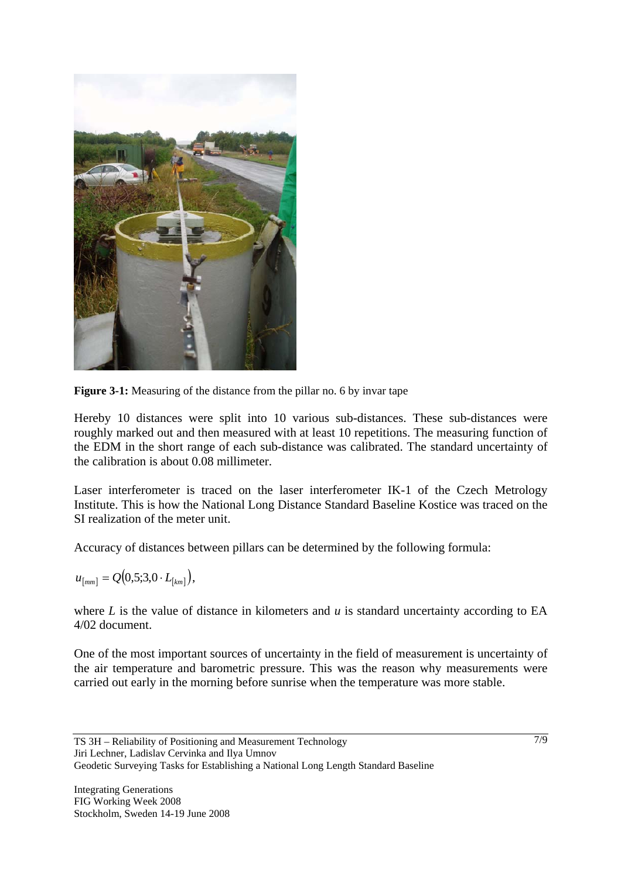

**Figure 3-1:** Measuring of the distance from the pillar no. 6 by invar tape

Hereby 10 distances were split into 10 various sub-distances. These sub-distances were roughly marked out and then measured with at least 10 repetitions. The measuring function of the EDM in the short range of each sub-distance was calibrated. The standard uncertainty of the calibration is about 0.08 millimeter.

Laser interferometer is traced on the laser interferometer IK-1 of the Czech Metrology Institute. This is how the National Long Distance Standard Baseline Kostice was traced on the SI realization of the meter unit.

Accuracy of distances between pillars can be determined by the following formula:

 $u_{[mm]} = Q(0, 5; 3, 0 \cdot L_{[km]}),$ 

where  $L$  is the value of distance in kilometers and  $u$  is standard uncertainty according to EA 4/02 document.

One of the most important sources of uncertainty in the field of measurement is uncertainty of the air temperature and barometric pressure. This was the reason why measurements were carried out early in the morning before sunrise when the temperature was more stable.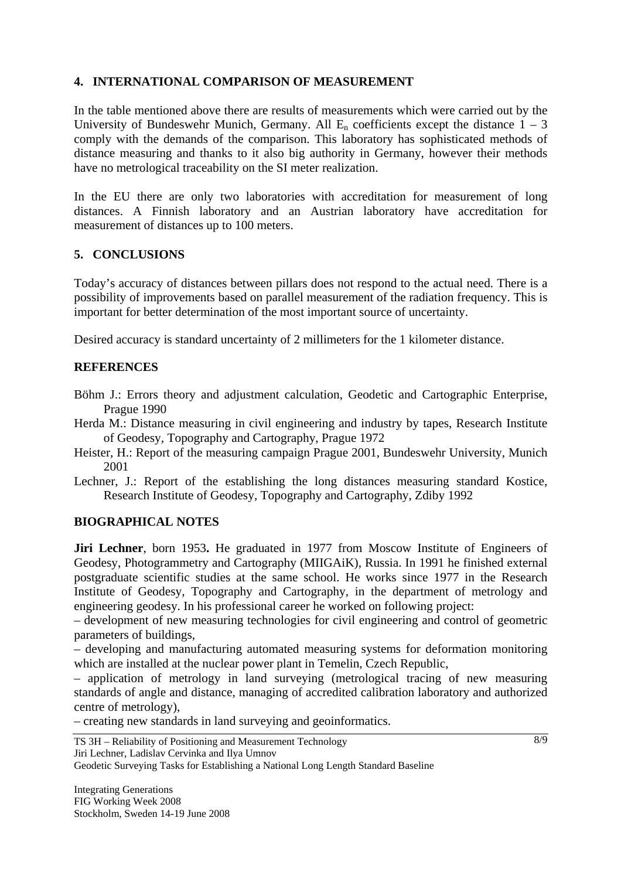### **4. INTERNATIONAL COMPARISON OF MEASUREMENT**

In the table mentioned above there are results of measurements which were carried out by the University of Bundeswehr Munich, Germany. All  $E_n$  coefficients except the distance  $1 - 3$ comply with the demands of the comparison. This laboratory has sophisticated methods of distance measuring and thanks to it also big authority in Germany, however their methods have no metrological traceability on the SI meter realization.

In the EU there are only two laboratories with accreditation for measurement of long distances. A Finnish laboratory and an Austrian laboratory have accreditation for measurement of distances up to 100 meters.

## **5. CONCLUSIONS**

Today's accuracy of distances between pillars does not respond to the actual need. There is a possibility of improvements based on parallel measurement of the radiation frequency. This is important for better determination of the most important source of uncertainty.

Desired accuracy is standard uncertainty of 2 millimeters for the 1 kilometer distance.

### **REFERENCES**

- Böhm J.: Errors theory and adjustment calculation, Geodetic and Cartographic Enterprise, Prague 1990
- Herda M.: Distance measuring in civil engineering and industry by tapes, Research Institute of Geodesy, Topography and Cartography, Prague 1972
- Heister, H.: Report of the measuring campaign Prague 2001, Bundeswehr University, Munich 2001
- Lechner, J.: Report of the establishing the long distances measuring standard Kostice, Research Institute of Geodesy, Topography and Cartography, Zdiby 1992

#### **BIOGRAPHICAL NOTES**

**Jiri Lechner**, born 1953**.** He graduated in 1977 from Moscow Institute of Engineers of Geodesy, Photogrammetry and Cartography (MIIGAiK), Russia. In 1991 he finished external postgraduate scientific studies at the same school. He works since 1977 in the Research Institute of Geodesy, Topography and Cartography, in the department of metrology and engineering geodesy. In his professional career he worked on following project:

– development of new measuring technologies for civil engineering and control of geometric parameters of buildings,

– developing and manufacturing automated measuring systems for deformation monitoring which are installed at the nuclear power plant in Temelin, Czech Republic,

– application of metrology in land surveying (metrological tracing of new measuring standards of angle and distance, managing of accredited calibration laboratory and authorized centre of metrology),

– creating new standards in land surveying and geoinformatics.